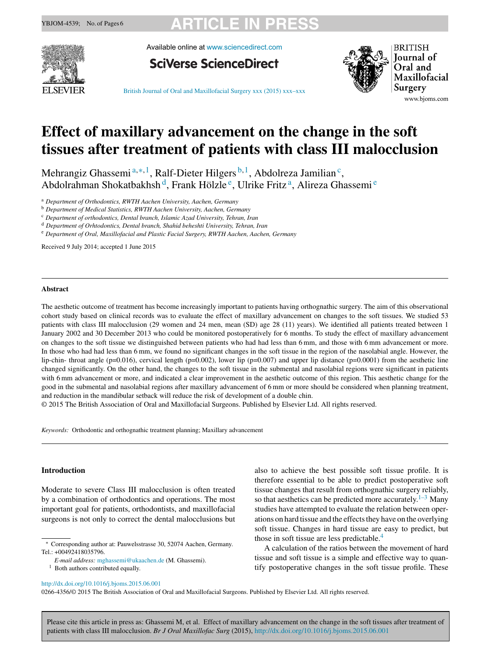

Available online at [www.sciencedirect.com](http://www.sciencedirect.com/science/journal/02664356)





**BRITISH Journal** of Oral and Maxillofacial Surgery www.bjoms.com

British Journal of Oral and [Maxillofacial](dx.doi.org/10.1016/j.bjoms.2015.06.001) Surgery xxx (2015) xxx–xxx

# **Effect of maxillary advancement on the change in the soft tissues after treatment of patients with class III malocclusion**

Mehrangiz Ghassemi<sup>a,\*,1</sup>, Ralf-Dieter Hilgers<sup>b,1</sup>, Abdolreza Jamilian<sup>c</sup>, Abdolrahman Shokatbakhsh d, Frank Hölzle e, Ulrike Fritz a, Alireza Ghassemi <sup>e</sup>

<sup>a</sup> *Department of Orthodontics, RWTH Aachen University, Aachen, Germany*

<sup>b</sup> *Department of Medical Statistics, RWTH Aachen University, Aachen, Germany*

<sup>c</sup> *Department of orthodontics, Dental branch, Islamic Azad University, Tehran, Iran*

<sup>d</sup> *Department of Orhtodontics, Dental branch, Shahid beheshti University, Tehran, Iran*

<sup>e</sup> *Department of Oral, Maxillofacial and Plastic Facial Surgery, RWTH Aachen, Aachen, Germany*

Received 9 July 2014; accepted 1 June 2015

### **Abstract**

The aesthetic outcome of treatment has become increasingly important to patients having orthognathic surgery. The aim of this observational cohort study based on clinical records was to evaluate the effect of maxillary advancement on changes to the soft tissues. We studied 53 patients with class III malocclusion (29 women and 24 men, mean (SD) age 28 (11) years). We identified all patients treated between 1 January 2002 and 30 December 2013 who could be monitored postoperatively for 6 months. To study the effect of maxillary advancement on changes to the soft tissue we distinguished between patients who had had less than 6 mm, and those with 6 mm advancement or more. In those who had had less than 6 mm, we found no significant changes in the soft tissue in the region of the nasolabial angle. However, the lip-chin- throat angle ( $p=0.016$ ), cervical length ( $p=0.002$ ), lower lip ( $p=0.007$ ) and upper lip distance ( $p=0.0001$ ) from the aesthetic line changed significantly. On the other hand, the changes to the soft tissue in the submental and nasolabial regions were significant in patients with 6 mm advancement or more, and indicated a clear improvement in the aesthetic outcome of this region. This aesthetic change for the good in the submental and nasolabial regions after maxillary advancement of 6 mm or more should be considered when planning treatment, and reduction in the mandibular setback will reduce the risk of development of a double chin.

© 2015 The British Association of Oral and Maxillofacial Surgeons. Published by Elsevier Ltd. All rights reserved.

*Keywords:* Orthodontic and orthognathic treatment planning; Maxillary advancement

### **Introduction**

Moderate to severe Class III malocclusion is often treated by a combination of orthodontics and operations. The most important goal for patients, orthodontists, and maxillofacial surgeons is not only to correct the dental malocclusions but

<sup>1</sup> Both authors contributed equally.

also to achieve the best possible soft tissue profile. It is therefore essential to be able to predict postoperative soft tissue changes that result from orthognathic surgery reliably, so that aesthetics can be predicted more accurately.<sup>[1–3](#page-5-0)</sup> Many studies have attempted to evaluate the relation between operations on hard tissue and the effects they have on the overlying soft tissue. Changes in hard tissue are easy to predict, but those in soft tissue are less predictable.<sup>[4](#page-5-0)</sup>

A calculation of the ratios between the movement of hard tissue and soft tissue is a simple and effective way to quantify postoperative changes in the soft tissue profile. These

0266-4356/© 2015 The British Association of Oral and Maxillofacial Surgeons. Published by Elsevier Ltd. All rights reserved.

Corresponding author at: Pauwelsstrasse 30, 52074 Aachen, Germany. Tel.: +00492418035796.

*E-mail address:* [mghassemi@ukaachen.de](mailto:mghassemi@ukaachen.de) (M. Ghassemi).

[http://dx.doi.org/10.1016/j.bjoms.2015.06.001](dx.doi.org/10.1016/j.bjoms.2015.06.001)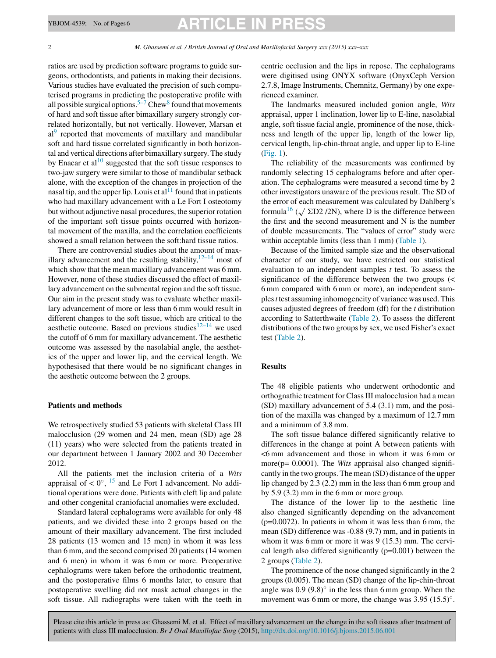ratios are used by prediction software programs to guide surgeons, orthodontists, and patients in making their decisions. Various studies have evaluated the precision of such computerised programs in predicting the postoperative profile with all possible surgical options.<sup>[5–7](#page-5-0)</sup> Chew<sup>8</sup> [fo](#page-5-0)und that movements of hard and soft tissue after bimaxillary surgery strongly correlated horizontally, but not vertically. However, Marsan et  $al<sup>9</sup>$  $al<sup>9</sup>$  $al<sup>9</sup>$  reported that movements of maxillary and mandibular soft and hard tissue correlated significantly in both horizontal and vertical directions after bimaxillary surgery. The study by Enacar et al<sup>[10](#page-5-0)</sup> suggested that the soft tissue responses to two-jaw surgery were similar to those of mandibular setback alone, with the exception of the changes in projection of the nasal tip, and the upper lip. Louis et  $al<sup>11</sup>$  $al<sup>11</sup>$  $al<sup>11</sup>$  found that in patients who had maxillary advancement with a Le Fort I osteotomy but without adjunctive nasal procedures, the superior rotation of the important soft tissue points occurred with horizontal movement of the maxilla, and the correlation coefficients showed a small relation between the soft:hard tissue ratios.

There are controversial studies about the amount of maxillary advancement and the resulting stability,  $12-14$  most of which show that the mean maxillary advancement was 6 mm. However, none of these studies discussed the effect of maxillary advancement on the submental region and the soft tissue. Our aim in the present study was to evaluate whether maxillary advancement of more or less than 6 mm would result in different changes to the soft tissue, which are critical to the aesthetic outcome. Based on previous studies $12-14$  we used the cutoff of 6 mm for maxillary advancement. The aesthetic outcome was assessed by the nasolabial angle, the aesthetics of the upper and lower lip, and the cervical length. We hypothesised that there would be no significant changes in the aesthetic outcome between the 2 groups.

### **Patients and methods**

We retrospectively studied 53 patients with skeletal Class III malocclusion (29 women and 24 men, mean (SD) age 28 (11) years) who were selected from the patients treated in our department between 1 January 2002 and 30 December 2012.

All the patients met the inclusion criteria of a *Wits* appraisal of <  $0^\circ$ , <sup>[15](#page-5-0)</sup> and Le Fort I advancement. No additional operations were done. Patients with cleft lip and palate and other congenital craniofacial anomalies were excluded.

Standard lateral cephalograms were available for only 48 patients, and we divided these into 2 groups based on the amount of their maxillary advancement. The first included 28 patients (13 women and 15 men) in whom it was less than 6 mm, and the second comprised 20 patients (14 women and 6 men) in whom it was 6 mm or more. Preoperative cephalograms were taken before the orthodontic treatment, and the postoperative films 6 months later, to ensure that postoperative swelling did not mask actual changes in the soft tissue. All radiographs were taken with the teeth in

centric occlusion and the lips in repose. The cephalograms were digitised using ONYX software (OnyxCeph Version 2.7.8, Image Instruments, Chemnitz, Germany) by one experienced examiner.

The landmarks measured included gonion angle, *Wits* appraisal, upper 1 inclination, lower lip to E-line, nasolabial angle, soft tissue facial angle, prominence of the nose, thickness and length of the upper lip, length of the lower lip, cervical length, lip-chin-throat angle, and upper lip to E-line [\(Fig.](#page-2-0) 1).

The reliability of the measurements was confirmed by randomly selecting 15 cephalograms before and after operation. The cephalograms were measured a second time by 2 other investigators unaware of the previous result. The SD of the error of each measurement was calculated by Dahlberg's formula<sup>16</sup> ( $\sqrt{\Sigma D2}$  /2N), where D is the difference between the first and the second measurement and N is the number of double measurements. The "values of error" study were within acceptable limits (less than 1 mm) [\(Table](#page-3-0) 1).

Because of the limited sample size and the observational character of our study, we have restricted our statistical evaluation to an independent samples *t* test. To assess the significance of the difference between the two groups (< 6 mm compared with 6 mm or more), an independent samples*t* test assuming inhomogeneity of variance was used.This causes adjusted degrees of freedom (df) for the *t* distribution according to Satterthwaite [\(Table](#page-3-0) 2). To assess the different distributions of the two groups by sex, we used Fisher's exact test [\(Table](#page-3-0) 2).

### **Results**

The 48 eligible patients who underwent orthodontic and orthognathic treatment for ClassIII malocclusion had a mean (SD) maxillary advancement of 5.4 (3.1) mm, and the position of the maxilla was changed by a maximum of 12.7 mm and a minimum of 3.8 mm.

The soft tissue balance differed significantly relative to differences in the change at point A between patients with <6 mm advancement and those in whom it was 6 mm or more( $p= 0.0001$ ). The *Wits* appraisal also changed significantly in the two groups. The mean (SD) distance of the upper lip changed by 2.3 (2.2) mm in the less than 6 mm group and by 5.9 (3.2) mm in the 6 mm or more group.

The distance of the lower lip to the aesthetic line also changed significantly depending on the advancement  $(p=0.0072)$ . In patients in whom it was less than 6 mm, the mean (SD) difference was -0.88 (9.7) mm, and in patients in whom it was 6 mm or more it was 9 (15.3) mm. The cervical length also differed significantly (p=0.001) between the 2 groups [\(Table](#page-3-0) 2).

The prominence of the nose changed significantly in the 2 groups (0.005). The mean (SD) change of the lip-chin-throat angle was  $0.9 (9.8)°$  in the less than 6 mm group. When the movement was 6 mm or more, the change was  $3.95$  (15.5) $^{\circ}$ .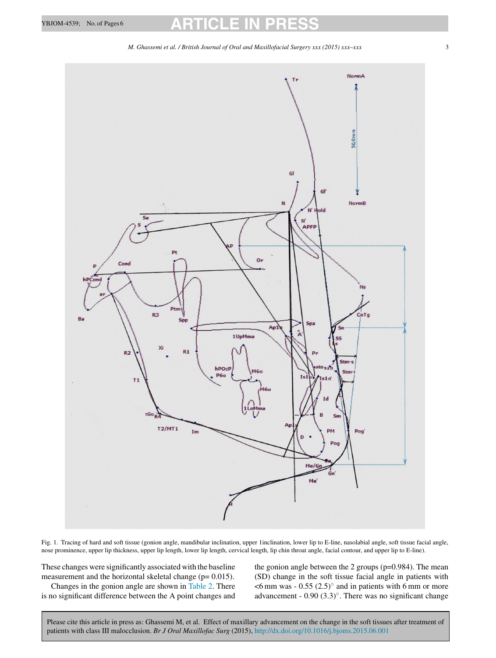*M. Ghassemi et al. / British Journal of Oral and Maxillofacial Surgery xxx (2015) xxx–xxx* 3

<span id="page-2-0"></span>

Fig. 1. Tracing of hard and soft tissue (gonion angle, mandibular inclination, upper 1inclination, lower lip to E-line, nasolabial angle, soft tissue facial angle, nose prominence, upper lip thickness, upper lip length, lower lip length, cervical length, lip chin throat angle, facial contour, and upper lip to E-line).

These changes were significantly associated with the baseline measurement and the horizontal skeletal change ( $p= 0.015$ ).

Changes in the gonion angle are shown in [Table](#page-3-0) 2. There is no significant difference between the A point changes and the gonion angle between the 2 groups (p=0.984). The mean (SD) change in the soft tissue facial angle in patients with  $<$ 6 mm was - 0.55 (2.5) $\degree$  and in patients with 6 mm or more advancement - 0.90 (3.3)◦. There was no significant change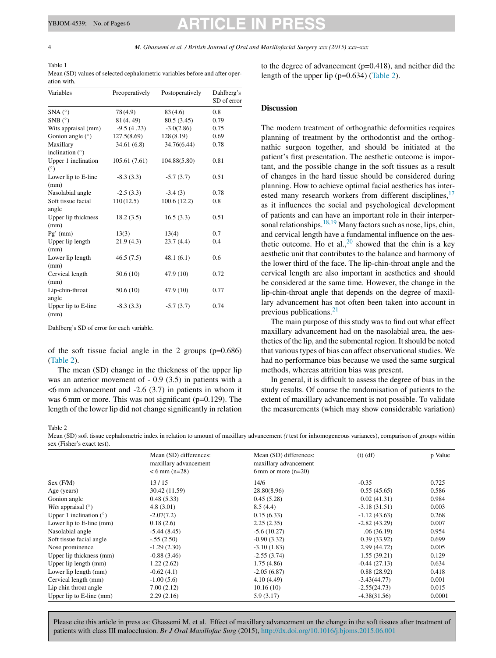<span id="page-3-0"></span>4 *M. Ghassemi et al. / British Journal of Oral and Maxillofacial Surgery xxx (2015) xxx–xxx*

Table 1 Mean (SD) values of selected cephalometric variables before and after operation with.

| Variables                      | Preoperatively | Postoperatively | Dahlberg's<br>SD of error |
|--------------------------------|----------------|-----------------|---------------------------|
| $SNA(^{\circ})$                | 78(4.9)        | 83(4.6)         | 0.8                       |
| SNB $(^{\circ})$               | 81(4.49)       | 80.5(3.45)      | 0.79                      |
| Wits appraisal (mm)            | $-9.5(4.23)$   | $-3.0(2.86)$    | 0.75                      |
| Gonion angle $(°)$             | 127.5(8.69)    | 128(8.19)       | 0.69                      |
| Maxillary<br>inclination $(°)$ | 34.61 (6.8)    | 34.76(6.44)     | 0.78                      |
| Upper 1 inclination<br>(°)     | 105.61(7.61)   | 104.88(5.80)    | 0.81                      |
| Lower lip to E-line<br>(mm)    | $-8.3(3.3)$    | $-5.7(3.7)$     | 0.51                      |
| Nasolabial angle               | $-2.5(3.3)$    | $-3.4(3)$       | 0.78                      |
| Soft tissue facial<br>angle    | 110(12.5)      | 100.6(12.2)     | 0.8                       |
| Upper lip thickness<br>(mm)    | 18.2(3.5)      | 16.5(3.3)       | 0.51                      |
| $Pg'$ (mm)                     | 13(3)          | 13(4)           | 0.7                       |
| Upper lip length<br>(mm)       | 21.9(4.3)      | 23.7(4.4)       | 0.4                       |
| Lower lip length<br>(mm)       | 46.5(7.5)      | 48.1(6.1)       | 0.6                       |
| Cervical length<br>(mm)        | 50.6(10)       | 47.9 (10)       | 0.72                      |
| Lip-chin-throat<br>angle       | 50.6(10)       | 47.9 (10)       | 0.77                      |
| Upper lip to E-line<br>(mm)    | $-8.3(3.3)$    | $-5.7(3.7)$     | 0.74                      |

Dahlberg's SD of error for each variable.

of the soft tissue facial angle in the 2 groups (p=0.686) (Table 2).

The mean (SD) change in the thickness of the upper lip was an anterior movement of - 0.9 (3.5) in patients with a  $<$ 6 mm advancement and  $-2.6$  (3.7) in patients in whom it was 6 mm or more. This was not significant (p=0.129). The length of the lower lip did not change significantly in relation to the degree of advancement (p=0.418), and neither did the length of the upper lip (p=0.634) (Table 2).

### **Discussion**

The modern treatment of orthognathic deformities requires planning of treatment by the orthodontist and the orthognathic surgeon together, and should be initiated at the patient's first presentation. The aesthetic outcome is important, and the possible change in the soft tissues as a result of changes in the hard tissue should be considered during planning. How to achieve optimal facial aesthetics has interested many research workers from different disciplines,  $17$ as it influences the social and psychological development of patients and can have an important role in their interper-sonal relationships.<sup>[18,19](#page-5-0)</sup> Many factors such as nose, lips, chin, and cervical length have a fundamental influence on the aesthetic outcome. Ho et al.,  $20$  showed that the chin is a key aesthetic unit that contributes to the balance and harmony of the lower third of the face. The lip-chin-throat angle and the cervical length are also important in aesthetics and should be considered at the same time. However, the change in the lip-chin-throat angle that depends on the degree of maxillary advancement has not often been taken into account in previous publications. $21$ 

The main purpose of this study was to find out what effect maxillary advancement had on the nasolabial area, the aesthetics of the lip, and the submental region. It should be noted that various types of bias can affect observational studies. We had no performance bias because we used the same surgical methods, whereas attrition bias was present.

In general, it is difficult to assess the degree of bias in the study results. Of course the randomisation of patients to the extent of maxillary advancement is not possible. To validate the measurements (which may show considerable variation)

### Table 2

Mean (SD) soft tissue cephalometric index in relation to amount of maxillary advancement *(t* test for inhomogeneous variances), comparison of groups within sex (Fisher's exact test).

|                               | Mean (SD) differences:<br>maxillary advancement<br>$< 6$ mm (n=28) | Mean (SD) differences:<br>maxillary advancement<br>6 mm or more $(n=20)$ | $(t)$ $(df)$   | p Value |
|-------------------------------|--------------------------------------------------------------------|--------------------------------------------------------------------------|----------------|---------|
| Sex (F/M)                     | 13/15                                                              | 14/6                                                                     | $-0.35$        | 0.725   |
| Age (years)                   | 30.42 (11.59)                                                      | 28.80(8.96)                                                              | 0.55(45.65)    | 0.586   |
| Gonion angle                  | 0.48(5.33)                                                         | 0.45(5.28)                                                               | 0.02(41.31)    | 0.984   |
| <i>Wits</i> appraisal $(°)$   | 4.8(3.01)                                                          | 8.5(4.4)                                                                 | $-3.18(31.51)$ | 0.003   |
| Upper 1 inclination $(°)$     | $-2.07(7.2)$                                                       | 0.15(6.33)                                                               | $-1.12(43.63)$ | 0.268   |
| Lower lip to $E$ -line $(mm)$ | 0.18(2.6)                                                          | 2.25(2.35)                                                               | $-2.82(43.29)$ | 0.007   |
| Nasolabial angle              | $-5.44(8.45)$                                                      | $-5.6(10.27)$                                                            | .06(36.19)     | 0.954   |
| Soft tissue facial angle      | $-.55(2.50)$                                                       | $-0.90(3.32)$                                                            | 0.39(33.92)    | 0.699   |
| Nose prominence               | $-1.29(2.30)$                                                      | $-3.10(1.83)$                                                            | 2.99 (44.72)   | 0.005   |
| Upper lip thickness (mm)      | $-0.88(3.46)$                                                      | $-2.55(3.74)$                                                            | 1.55(39.21)    | 0.129   |
| Upper lip length (mm)         | 1.22(2.62)                                                         | 1.75(4.86)                                                               | $-0.44(27.13)$ | 0.634   |
| Lower lip length (mm)         | $-0.62(4.1)$                                                       | $-2.05(6.87)$                                                            | 0.88(28.92)    | 0.418   |
| Cervical length (mm)          | $-1.00(5.6)$                                                       | 4.10 (4.49)                                                              | $-3.43(44.77)$ | 0.001   |
| Lip chin throat angle         | 7.00(2.12)                                                         | 10.16(10)                                                                | $-2.55(24.73)$ | 0.015   |
| Upper lip to E-line (mm)      | 2.29(2.16)                                                         | 5.9(3.17)                                                                | $-4.38(31.56)$ | 0.0001  |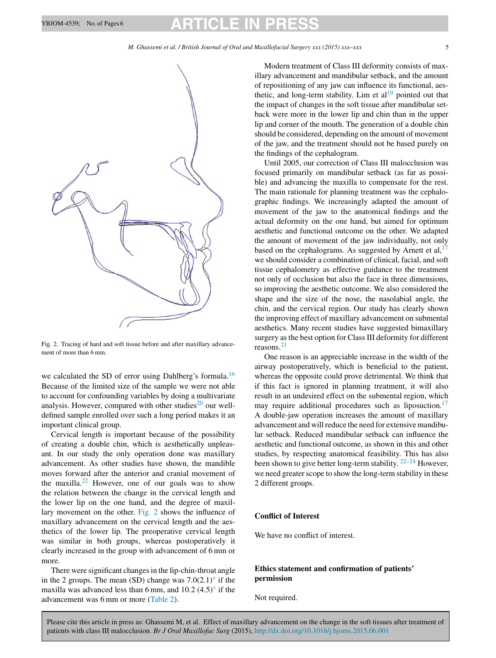

Fig. 2. Tracing of hard and soft tissue before and after maxillary advancement of more than 6 mm.

we calculated the SD of error using Dahlberg's formula.<sup>[16](#page-5-0)</sup> Because of the limited size of the sample we were not able to account for confounding variables by doing a multivariate analysis. However, compared with other studies<sup>[20](#page-5-0)</sup> our welldefined sample enrolled over such a long period makes it an important clinical group.

Cervical length is important because of the possibility of creating a double chin, which is aesthetically unpleasant. In our study the only operation done was maxillary advancement. As other studies have shown, the mandible moves forward after the anterior and cranial movement of the maxilla.<sup>[22](#page-5-0)</sup> However, one of our goals was to show the relation between the change in the cervical length and the lower lip on the one hand, and the degree of maxillary movement on the other. Fig. 2 shows the influence of maxillary advancement on the cervical length and the aesthetics of the lower lip. The preoperative cervical length was similar in both groups, whereas postoperatively it clearly increased in the group with advancement of 6 mm or more.

There were significant changes in the lip-chin-throat angle in the 2 groups. The mean (SD) change was  $7.0(2.1)°$  if the maxilla was advanced less than 6 mm, and  $10.2$  (4.5) $\degree$  if the advancement was 6 mm or more [\(Table](#page-3-0) 2).

Modern treatment of Class III deformity consists of maxillary advancement and mandibular setback, and the amount of repositioning of any jaw can influence its functional, aesthetic, and long-term stability. Lim et  $al<sup>19</sup>$  $al<sup>19</sup>$  $al<sup>19</sup>$  pointed out that the impact of changes in the soft tissue after mandibular setback were more in the lower lip and chin than in the upper lip and corner of the mouth. The generation of a double chin should be considered, depending on the amount of movement of the jaw, and the treatment should not be based purely on the findings of the cephalogram.

Until 2005, our correction of Class III malocclusion was focused primarily on mandibular setback (as far as possible) and advancing the maxilla to compensate for the rest. The main rationale for planning treatment was the cephalographic findings. We increasingly adapted the amount of movement of the jaw to the anatomical findings and the actual deformity on the one hand, but aimed for optimum aesthetic and functional outcome on the other. We adapted the amount of movement of the jaw individually, not only based on the cephalograms. As suggested by Arnett et al,  $17$ we should consider a combination of clinical, facial, and soft tissue cephalometry as effective guidance to the treatment not only of occlusion but also the face in three dimensions, so improving the aesthetic outcome. We also considered the shape and the size of the nose, the nasolabial angle, the chin, and the cervical region. Our study has clearly shown the improving effect of maxillary advancement on submental aesthetics. Many recent studies have suggested bimaxillary surgery as the best option for Class III deformity for different reasons. $21$ 

One reason is an appreciable increase in the width of the airway postoperatively, which is beneficial to the patient, whereas the opposite could prove detrimental. We think that if this fact is ignored in planning treatment, it will also result in an undesired effect on the submental region, which may require additional procedures such as liposuction.<sup>[17](#page-5-0)</sup> A double-jaw operation increases the amount of maxillary advancement and will reduce the need for extensive mandibular setback. Reduced mandibular setback can influence the aesthetic and functional outcome, as shown in this and other studies, by respecting anatomical feasibility. This has also been shown to give better long-term stability. <sup>[22–24](#page-5-0)</sup> However, we need greater scope to show the long-term stability in these 2 different groups.

### **Conflict of Interest**

We have no conflict of interest.

## **Ethics statement and confirmation of patients' permission**

Not required.